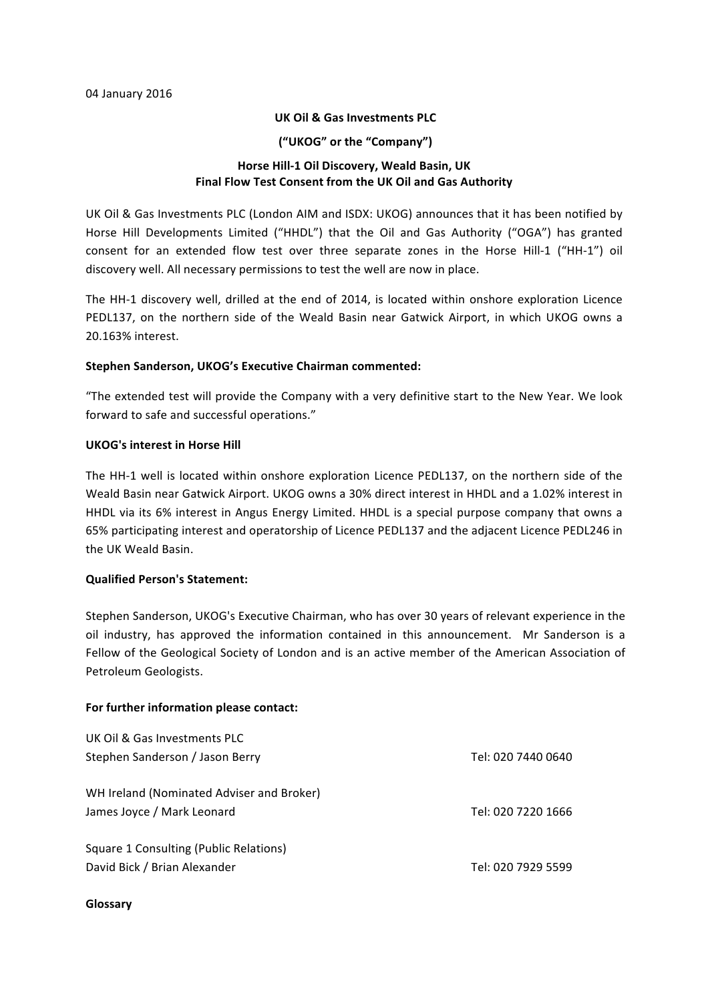## **UK Oil & Gas Investments PLC**

### **("UKOG" or the "Company")**

# **Horse Hill-1 Oil Discovery, Weald Basin, UK** Final Flow Test Consent from the UK Oil and Gas Authority

UK Oil & Gas Investments PLC (London AIM and ISDX: UKOG) announces that it has been notified by Horse Hill Developments Limited ("HHDL") that the Oil and Gas Authority ("OGA") has granted consent for an extended flow test over three separate zones in the Horse Hill-1 ("HH-1") oil discovery well. All necessary permissions to test the well are now in place.

The HH-1 discovery well, drilled at the end of 2014, is located within onshore exploration Licence PEDL137, on the northern side of the Weald Basin near Gatwick Airport, in which UKOG owns a 20.163% interest.

### **Stephen Sanderson, UKOG's Executive Chairman commented:**

"The extended test will provide the Company with a very definitive start to the New Year. We look forward to safe and successful operations."

### **UKOG's interest in Horse Hill**

The HH-1 well is located within onshore exploration Licence PEDL137, on the northern side of the Weald Basin near Gatwick Airport. UKOG owns a 30% direct interest in HHDL and a 1.02% interest in HHDL via its 6% interest in Angus Energy Limited. HHDL is a special purpose company that owns a 65% participating interest and operatorship of Licence PEDL137 and the adjacent Licence PEDL246 in the UK Weald Basin.

## **Qualified Person's Statement:**

Stephen Sanderson, UKOG's Executive Chairman, who has over 30 years of relevant experience in the oil industry, has approved the information contained in this announcement. Mr Sanderson is a Fellow of the Geological Society of London and is an active member of the American Association of Petroleum Geologists.

#### For further information please contact:

| UK Oil & Gas Investments PLC              |                    |
|-------------------------------------------|--------------------|
| Stephen Sanderson / Jason Berry           | Tel: 020 7440 0640 |
| WH Ireland (Nominated Adviser and Broker) |                    |
| James Joyce / Mark Leonard                | Tel: 020 7220 1666 |
| Square 1 Consulting (Public Relations)    |                    |
| David Bick / Brian Alexander              | Tel: 020 7929 5599 |

#### **Glossary**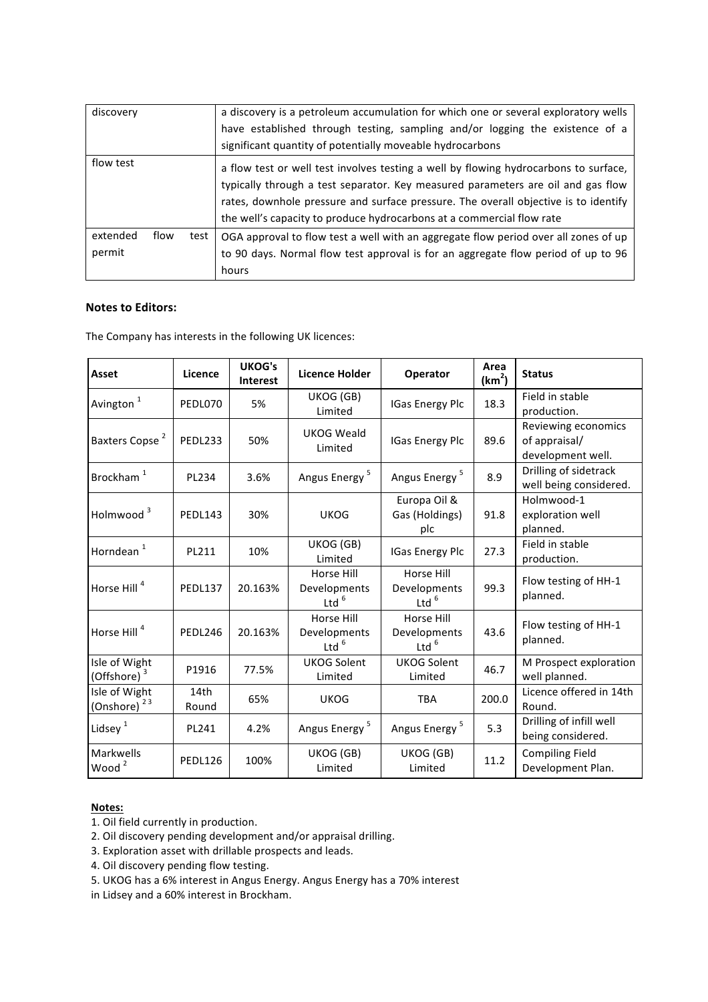| discovery                  | a discovery is a petroleum accumulation for which one or several exploratory wells<br>have established through testing, sampling and/or logging the existence of a<br>significant quantity of potentially moveable hydrocarbons                                                                                                          |
|----------------------------|------------------------------------------------------------------------------------------------------------------------------------------------------------------------------------------------------------------------------------------------------------------------------------------------------------------------------------------|
| flow test                  | a flow test or well test involves testing a well by flowing hydrocarbons to surface,<br>typically through a test separator. Key measured parameters are oil and gas flow<br>rates, downhole pressure and surface pressure. The overall objective is to identify<br>the well's capacity to produce hydrocarbons at a commercial flow rate |
| extended<br>flow<br>permit | test<br>OGA approval to flow test a well with an aggregate flow period over all zones of up<br>to 90 days. Normal flow test approval is for an aggregate flow period of up to 96<br>hours                                                                                                                                                |

# **Notes to Editors:**

The Company has interests in the following UK licences:

| Asset                                    | Licence        | <b>UKOG's</b><br><b>Interest</b> | <b>Licence Holder</b>                 | Operator                              | Area<br>(km <sup>2</sup> ) | <b>Status</b>                                             |
|------------------------------------------|----------------|----------------------------------|---------------------------------------|---------------------------------------|----------------------------|-----------------------------------------------------------|
| Avington <sup>1</sup>                    | PEDL070        | 5%                               | UKOG (GB)<br>Limited                  | <b>IGas Energy Plc</b>                | 18.3                       | Field in stable<br>production.                            |
| Baxters Copse <sup>2</sup>               | PEDL233        | 50%                              | <b>UKOG Weald</b><br>Limited          | <b>IGas Energy Plc</b>                | 89.6                       | Reviewing economics<br>of appraisal/<br>development well. |
| Brockham <sup>1</sup>                    | PL234          | 3.6%                             | Angus Energy <sup>5</sup>             | Angus Energy <sup>5</sup>             | 8.9                        | Drilling of sidetrack<br>well being considered.           |
| Holmwood <sup>3</sup>                    | <b>PEDL143</b> | 30%                              | <b>UKOG</b>                           | Europa Oil &<br>Gas (Holdings)<br>plc | 91.8                       | Holmwood-1<br>exploration well<br>planned.                |
| Horndean <sup>1</sup>                    | PL211          | 10%                              | UKOG (GB)<br>Limited                  | <b>IGas Energy Plc</b>                | 27.3                       | Field in stable<br>production.                            |
| Horse Hill <sup>4</sup>                  | <b>PEDL137</b> | 20.163%                          | Horse Hill<br>Developments<br>Ltd $6$ | Horse Hill<br>Developments<br>Ltd $6$ | 99.3                       | Flow testing of HH-1<br>planned.                          |
| Horse Hill <sup>4</sup>                  | PEDL246        | 20.163%                          | Horse Hill<br>Developments<br>Ltd $6$ | Horse Hill<br>Developments<br>Ltd $6$ | 43.6                       | Flow testing of HH-1<br>planned.                          |
| Isle of Wight<br>(Offshore) <sup>3</sup> | P1916          | 77.5%                            | <b>UKOG Solent</b><br>Limited         | <b>UKOG Solent</b><br>Limited         | 46.7                       | M Prospect exploration<br>well planned.                   |
| Isle of Wight<br>(Onshore) <sup>23</sup> | 14th<br>Round  | 65%                              | <b>UKOG</b>                           | <b>TBA</b>                            | 200.0                      | Licence offered in 14th<br>Round.                         |
| Lidsey $1$                               | PL241          | 4.2%                             | Angus Energy <sup>5</sup>             | Angus Energy <sup>5</sup>             | 5.3                        | Drilling of infill well<br>being considered.              |
| Markwells<br>Wood <sup>2</sup>           | <b>PEDL126</b> | 100%                             | UKOG (GB)<br>Limited                  | UKOG (GB)<br>Limited                  | 11.2                       | <b>Compiling Field</b><br>Development Plan.               |

# **Notes:**

1. Oil field currently in production.

2. Oil discovery pending development and/or appraisal drilling.

- 3. Exploration asset with drillable prospects and leads.
- 4. Oil discovery pending flow testing.
- 5. UKOG has a 6% interest in Angus Energy. Angus Energy has a 70% interest

in Lidsey and a 60% interest in Brockham.